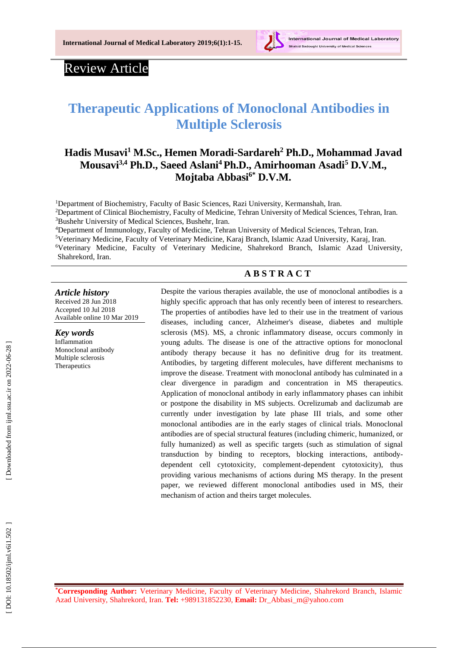

# Review Article

# **Therapeutic Applications of Monoclonal Antibodies in Multiple Sclerosis**

# **Hadis Musavi <sup>1</sup> M.Sc., Hemen Moradi -Sardareh 2 P h.D., Mohammad Javad Mousavi 3,4 Ph.D., Saeed Aslani <sup>4</sup>Ph.D., Amirhooman Asadi <sup>5</sup> D.V.M . , Mojtaba Abbasi 6 \* D.V.M .**

<sup>1</sup>Department of Biochemistry, Faculty of Basic Sciences, Razi University, Kermanshah, Iran. <sup>2</sup>Department of Clinical Biochemistry, Faculty of Medicine, Tehran University of Medical Sciences, Tehran, Iran. <sup>3</sup>Bushehr University of Medical Sciences, Bushehr, Iran.

<sup>4</sup>Department of Immunology, Faculty of Medicine, Tehran University of Medical Sciences, Tehran, Iran.

<sup>5</sup>Veterinary Medicine, Faculty of Veterinary Medicine, Karaj Branch, Islamic Azad University, Karaj, Iran.

<sup>6</sup>Veterinary Medicine, Faculty of Veterinary Medicine, Shahrekord Branch, Islamic Azad University, Shahrekord, Iran.

### **A B S T R A C T**

#### *Article history*

Received 2 8 J u n 201 8 Accepted 1 0 Jul 201 8 Available online 10 Mar 201 9

#### *Key words*

Inflammation Monoclonal antibody Multiple sclerosis **[Therapeutics](https://www.ncbi.nlm.nih.gov/mesh/68013812)** 

Despite the various therapies available, the use of monoclonal antibodies is a highly specific approach that has only recently been of interest to researchers. The properties of antibodies have led to their use in the treatment of various diseases, including cancer, Alzheimer's disease, diabetes and multiple sclerosis (MS) . MS, a chronic inflammatory disease, occurs commonly in young adults. The disease is one of the attractive options for monoclonal antibody therapy because it has no definitive drug for its treatment. Antibodies , by targeting different molecules , have different mechanisms to improve the disease. Treatment with monoclonal antibody has culminated in a clear divergence in paradigm and concentration in MS therapeutics. Application of monoclonal antibody in early inflammatory phases can inhibit or postpone the disability in MS subjects. Ocrelizumab and daclizumab are currently under investigation by late phase III trials, and some other monoclonal antibodies are in the early stages of clinical trials. Monoclonal antibodies are of special structural features (including chimeric, humanized, or fully humanized) as well as specific targets (such as stimulation of signal transduction by binding to receptors, blocking interactions, antibody dependent cell cytotoxicity, complement -dependent cytotoxicity), thus providing various mechanisms of actions during MS therapy. In the present paper, we reviewed different monoclonal antibodies used in MS, their mechanism of action and theirs target molecules.

**\*Corresponding Author:** Veterinary Medicine, Faculty of Veterinary Medicine, Shahrekord Branch, Islamic Azad University, Shahrekord, Iran. **Tel:** +989131852230, **Email:** [Dr\\_Abbasi\\_m@yahoo.com](mailto:dr_Abbasi_m@yahoo.com)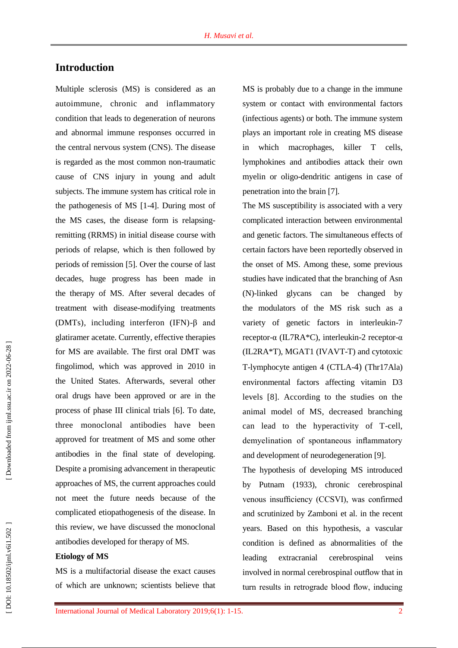### **Introduction**

Multiple sclerosis (MS) is considered as an autoimmune, chronic and inflammatory condition that leads to degeneration of neurons and abnormal immune responses occurred in the central nervous system (CNS). The disease is regarded as the most common non -traumatic cause of CNS injury in young and adult subjects. The immune system has critical role in the pathogenesis of MS [ 1 - 4 ]. During most of the MS cases, the disease form is relapsing remitting (RRMS) in initial disease course with periods of relapse, which is then followed by periods of remission [ 5 ]. Over the course of last decades, huge progress has been made in the therapy of MS. After several decades of treatment with disease -modifying treatments (DMTs), including interferon (IFN) -β and glatiramer acetate . Currently, effective therapies for MS are available. The first oral DMT was fingolimod, which was approved in 2010 in the United States. Afterwards, several other oral drugs have been approved or are in the process of phase III clinical trials [ 6 ]. To date, three monoclonal antibodies have been approved for treatment of MS and some other antibodies in the final state of developing. Despite a promising advancement in therapeutic approaches of MS, the current approaches could not meet the future needs because of the complicated etiopathogenesis of the disease. In this review, we have discussed the monoclonal antibodies developed for therapy of MS.

#### **Etiology of M S**

MS is a multifactorial disease the exact causes of which are unknown; scientists believe that

MS is probably due to a change in the immune system or contact with environmental factors (infectious agents) or both. The immune system plays an important role in creating MS disease in which macrophages, killer T cells, lymphokines and antibodies attack their own myelin or oligo -dendritic antigens in case of penetration into the brain [ 7 ] .

The MS susceptibility is associated with a very complicated interaction between environmental and genetic factors. The simultaneous effects of certain factors have been reportedly observed in the onset of MS. Among these, some previous studies have indicated that the branching of Asn (N) glycans can be changed by the modulators of the MS risk such as a variety of genetic factors in interleukin -7 receptor-α (IL7RA\*C), interleukin-2 receptor-α (IL2RA\*T), MGAT1 (IVAVT -T) and cytotoxic T -lymphocyte antigen 4 (CTLA -4) (Thr17Ala) environmental factors affecting vitamin D3 levels [ 8 ]. According to the studies on the animal model of MS, decreased branching can lead to the hyperactivity of T -cell, demyelination of spontaneous inflammatory and development of neurodegeneration [ 9 ] .

The hypothesis of developing MS introduced by Putnam (1933), chronic cerebrospinal venous insufficiency (CCSVI), was confirmed and scrutinized by Zamboni et al. in the recent years. Based on this hypothesis, a vascular condition is defined as abnormalities of the leading extracranial cerebrospinal veins involved in normal cerebrospinal outflow that in turn results in retrograde blood flow, inducing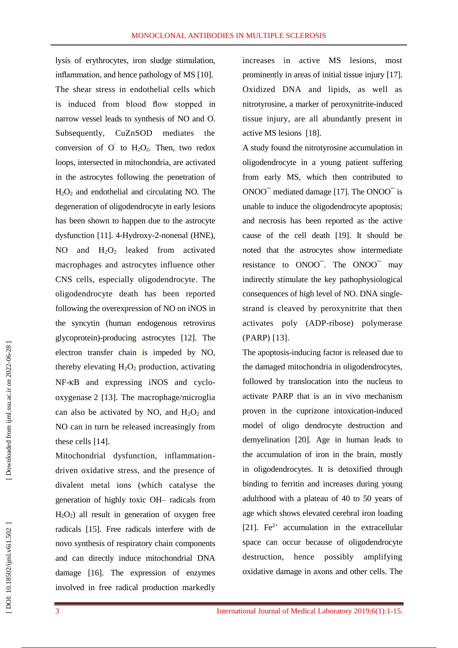lysis of erythrocytes, iron sludge stimulation, inflammation, and hence pathology of MS [10 ] . The shear stress in endothelial cells which is induced from blood flow stopped in narrow vessel leads to synthesis of NO and O. Subsequently, CuZnSOD mediates the conversion of  $O^{\dagger}$  to  $H_2O_2$ . Then, two redox loops, intersected in mitochondria, are activated in the astrocytes following the penetration of  $H_2O_2$  and endothelial and circulating NO. The degeneration of oligodendrocyte in early lesions has been shown to happen due to the astrocyte dysfunction [11 ]. 4 -Hydroxy - 2 -nonenal (HNE), NO and  $H_2O_2$  leaked from activated macrophages and astrocytes influence other CNS cells, especially oligodendrocyte. The oligodendrocyte death has been reported following the overexpression of NO on iNOS in the syncytin (human endogenous retrovirus glycoprotein) -producing astrocytes [12 ]. The electron transfer chain is impeded by NO, thereby elevating  $H_2O_2$  production, activating NF-KB and expressing iNOS and cyclooxygenase 2 [13 ]. The macrophage/microglia can also be activated by NO, and  $H_2O_2$  and NO can in turn be released increasingly from these cells [14 ] .

Mitochondrial dysfunction, inflammation driven oxidative stress, and the presence of divalent metal ions (which catalyse the generation of highly toxic OH – radicals from H 2 O <sup>2</sup>) all result in generation of oxygen free radicals [15 ]. Free radicals interfere with de novo synthesis of respiratory chain components and can directly induce mitochondrial DNA damage [16 ]. The expression of enzymes involved in free radical production markedly

increases in active MS lesions, most prominently in areas of initial tissue injury [17 ]. Oxidized DNA and lipids, as well as nitrotyrosine, a marker of peroxynitrite -induced tissue injury, are all abundantly present in active MS lesions [18 ] .

A study found the nitrotyrosine accumulation in oligodendrocyte in a young patient suffering from early MS, which then contributed to ONOO¯ mediated damage [17 ]. The ONOO ¯ is unable to induce the oligodendrocyte apoptosis; and necrosis has been reported as the active cause of the cell death [19 ]. It should be noted that the astrocytes show intermediate resistance to ONOO<sup>-</sup>. The ONOO<sup>-</sup> may indirectly stimulate the key pathophysiological consequences of high level of NO. DNA single strand is cleaved by peroxynitrite that then activates poly (ADP -ribose) polymerase (PARP) [13 ] .

The apoptosis -inducing factor is released due to the damaged mitochondria in oligodendrocytes, followed by translocation into the nucleus to activate PARP that is an in vivo mechanism proven in the cuprizone intoxication -induced model of oligo dendrocyte destruction and demyelination [20 ]. Age in human leads to the accumulation of iron in the brain, mostly in oligodendrocytes. It is detoxified through binding to ferritin and increases during young adulthood with a plateau of 40 to 50 years of age which shows elevated cerebral iron loading [21]. Fe<sup>2+</sup> accumulation in the extracellular space can occur because of oligodendrocyte destruction, hence possibly amplifying oxidative damage in axons and other cells. The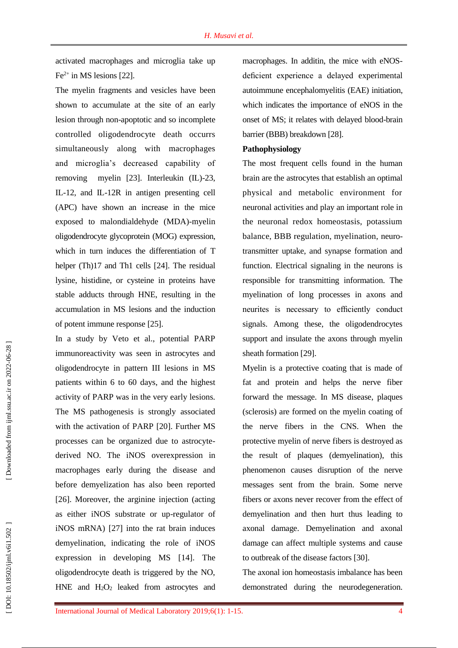activated macrophages and microglia take up  $Fe<sup>2+</sup>$  in MS lesions [22].

The myelin fragments and vesicles have been shown to accumulate at the site of an early lesion through non -apoptotic and so incomplete controlled oligodendrocyte death occurrs simultaneously along with macrophages and microglia's decreased capability of removing [23]. Interleukin (IL)-23, IL -12, and IL -12R in antigen presenting cell (APC ) have shown an increase in the mice exposed to malondialdehyde (MDA ) -myelin oligodendrocyte glycoprotein (MOG) expression, which in turn induces the differentiation of T helper (Th)17 and Th1 cells [24]. The residual lysine, histidine, or cysteine in proteins have stable adducts through HNE, resulting in the accumulation in MS lesions and the induction of potent immune response [25 ] .

In a study by Veto et al., potential PARP immunoreactivity was seen in astrocytes and oligodendrocyte in pattern III lesions in MS patients within 6 to 60 days, and the highest activity of PARP was in the very early lesions. The MS pathogenesis is strongly associated with the activation of PARP [20 ]. Further MS processes can be organized due to astrocyte derived NO. The iNOS overexpression in macrophages early during the disease and before demyelization has also been reported [26]. Moreover, the arginine injection (acting as either iNOS substrate or up -regulator of iNOS mRNA) [27 ] into the rat brain induces demyelination, indicating the role of iNOS expression in developing MS [14 ]. The oligodendrocyte death is triggered by the NO, HNE and H 2 O <sup>2</sup> leaked from astrocytes and macrophages. In additin, the mice with eNOS deficient experience a delayed experimental autoimmune encephalomyelitis (EAE) initiation, which indicates the importance of eNOS in the onset of MS; it relates with delayed blood -brain barrier (BBB) breakdown [28 ] .

#### **Pathophysiology**

The most frequent cells found in the human brain are the astrocytes that establish an optimal physical and metabolic environment for neuronal activities and play an important role in the neuronal redox homeostasis, potassium balance, BBB regulation, myelination, neuro transmitter uptake, and synapse formation and function. Electrical signaling in the neurons is responsible for transmitting information. The myelination of long processes in axons and neurites is necessary to efficiently conduct signals. Among these, the oligodendrocytes support and insulate the axons through myelin sheath formation [29 ] .

Myelin is a protective coating that is made of fat and protein and helps the nerve fiber forward the message. In MS disease, plaques (sclerosis) are formed on the myelin coating of the nerve fibers in the CNS. When the protective myelin of nerve fibers is destroyed as the result of plaques (demyelination), this phenomenon causes disruption of the nerve messages sent from the brain. Some nerve fibers or axons never recover from the effect of demyelination and then hurt thus leading to axonal damage. Demyelination and axonal damage can affect multiple system s and cause to outbreak of the disease factors [30 ] .

The axonal ion homeostasis imbalance has been demonstrated during the neurodegeneration.

4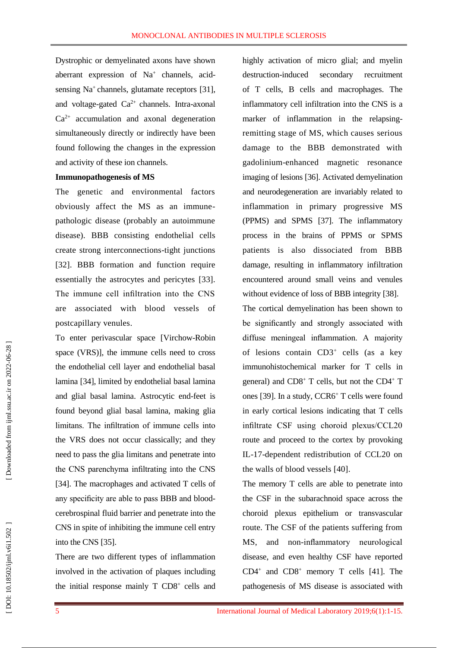Dystrophic or demyelinated axons have shown aberrant expression of Na<sup>+</sup> channels, acidsensing Na<sup>+</sup> channels, glutamate receptors [31], and voltage-gated Ca<sup>2+</sup> channels. Intra-axonal  $Ca<sup>2+</sup>$  accumulation and axonal degeneration simultaneously directly or indirectly have been found following the changes in the expression and activity of these ion channels.

#### **Immunopathogenesis of MS**

The genetic and environmental factors obviously affect the MS as an immune pathologic disease (probably an autoimmune disease). BBB consisting endothelial cells create strong interconnections -tight junctions [32 ]. BBB formation and function require essentially the astrocytes and pericytes [33 ] . The immune cell infiltration into the CNS are associated with blood vessels of postcapillary venules.

To enter perivascular space [Virchow -Robin space (VRS) ], the immune cells need to cross the endothelial cell layer and endothelial basal lamina [34 ], limited by endothelial basal lamina and glial basal lamina. Astrocytic end -feet is found beyond glial basal lamina, making glia limitans. The infiltration of immune cells into the VRS does not occur classically ; and they need to pass the glia limitans and penetrate into the CNS parenchyma infiltrating into the CNS [34]. The macrophages and activated T cells of any specificity are able to pass BBB and blood cerebrospinal fluid barrier and penetrate into the CNS in spite of inhibiting the immune cell entry into the CNS [35 ] .

There are two different types of inflammation involved in the activation of plaques including the initial response mainly T CD8<sup>+</sup> cells and highly activation of micro glial; and myelin destruction-induced secondary recruitment of T cells, B cells and macrophages. The inflammatory cell infiltration into the CNS is a marker of inflammation in the relapsing remitting stage of MS, which causes serious damage to the BBB demonstrated with gadolinium -enhanced magnetic resonance imaging of lesions [36 ]. Activated demyelination and neurodegeneration are invariably related to inflammation in primary progressive MS (PPMS) and SPMS [37 ] . The inflammatory process in the brains of PPMS or SPMS patients is also dissociated from BBB damage, resulting in inflammatory infiltration encountered around small veins and venules without evidence of loss of BBB integrity [38].

The cortical demyelination has been shown to be significantly and strongly associated with diffuse meningeal inflammation. A majority of lesions contain CD3<sup>+</sup> cells (as a key immunohistochemical marker for T cells in general) and CD8<sup>+</sup> T cells, but not the CD4<sup>+</sup> T ones [39 ]. In a study , CCR6 <sup>+</sup> T cells were found in early cortical lesions indicating that T cells infiltrate CSF using choroid plexus/CCL20 route and proceed to the cortex by provoking IL -17 -dependent redistribution of CCL20 on the walls of blood vessels [40 ] .

The memory T cells are able to penetrate into the CSF in the subarachnoid space across the choroid plexus epithelium or transvascular route. The CSF of the patients suffering from MS, and non -inflammatory neurological disease, and even healthy CSF have reported  $CD4<sup>+</sup>$  and  $CD8<sup>+</sup>$  memory T cells [41]. The pathogenesis of MS disease is associated with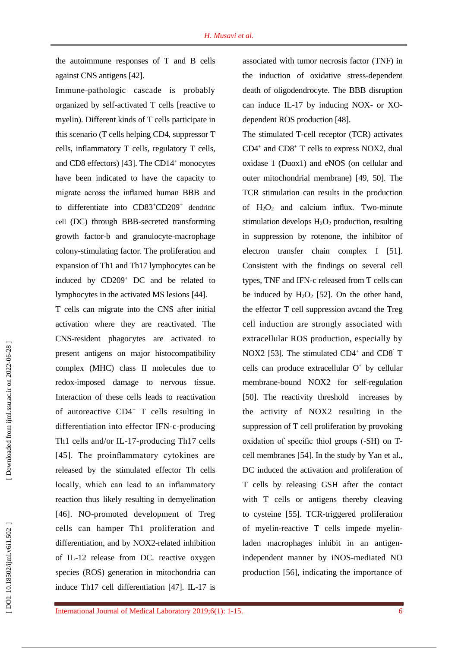the autoimmune responses of T and B cells against CNS antigens [42 ] .

Immune -pathologic cascade is probably organized by self-activated T cells [reactive to myelin). Different kinds of T cells participate in this scenario (T cells helping CD4, suppressor T cells, inflammatory T cells, regulatory T cells, and CD8 effectors) [43]. The CD14<sup>+</sup> monocytes have been indicated to have the capacity to migrate across the inflamed human BBB and to differentiate into CD83+CD209+ dendritic [cell](https://www.ncbi.nlm.nih.gov/pmc/articles/PMC5087571/) (DC) through BBB -secreted transforming growth factor -b and granulocyte -macrophage colony -stimulating factor. The proliferation and expansion of Th1 and Th17 lymphocytes can be induced by CD209<sup>+</sup> DC and be related to lymphocytes in the activated MS lesions [44 ] .

T cells can migrate into the CNS after initial activation where they are reactivated. The CNS -resident phagocytes are activated to present antigens on major histocompatibility complex (MHC) class II molecules due to redox -imposed damage to nervous tissue. Interaction of these cells leads to reactivation of autoreactive CD4<sup>+</sup> T cells resulting in differentiation into effector IFN - c -producing Th1 cells and/or IL -17 -producing Th17 cells [45 ]. The proinflammatory cytokines are released by the stimulated effector Th cells locally, which can lead to an inflammatory reaction thus likely resulting in demyelination [46]. NO-promoted development of Treg cells can hamper Th1 proliferation and differentiation, and by NOX2 -related inhibition of IL -12 release from DC. reactive oxygen species (ROS) generation in mitochondria can induce Th17 cell differentiation [47 ]. IL -17 is associated with tumor necrosis factor (TNF ) in the induction of oxidative stress -dependent death of oligodendrocyte. The BBB disruption can induce IL-17 by inducing NOX- or XOdependent ROS production [48 ] .

The stimulated T -cell receptor (TCR) activates CD4 + and CD8 <sup>+</sup> T cells to express NOX2, dual oxidase 1 (Duox1) and eNOS (on cellular and outer mitochondrial membrane) [49, 50 ]. The TCR stimulation can results in the production of  $H_2O_2$  and calcium influx. Two-minute stimulation develops H 2 O <sup>2</sup> production, resulting in suppression by rotenone, the inhibitor of electron transfer chain complex I [51 ]. Consistent with the findings on several cell types, TNF and IFN -c released from T cells can be induced by  $H_2O_2$  [52]. On the other hand, the effector T cell suppression avcand the Treg cell induction are strongly associated with extracellular ROS production, especially by NOX2 [53]. The stimulated CD4<sup>+</sup> and CD8<sup>`</sup> T cells can produce extracellular O˚ by cellular membrane -bound NOX2 for self-regulation [50 ]. The reactivity threshold increase s by the activity of NOX2 resulting in the suppression of T cell proliferation by provoking oxidation of specific thiol groups ( -SH) on T cell membranes [54 ]. In the study by Yan et al., DC induce d the activation and proliferation of T cells by releasing GSH after the contact with T cells or antigens thereby cleaving to cysteine [55 ]. TCR -triggered proliferation of myelin -reactive T cells impede myelin laden macrophages inhibit in an antigen independent manner by iNOS -mediated NO production [56 ], indicating the importance of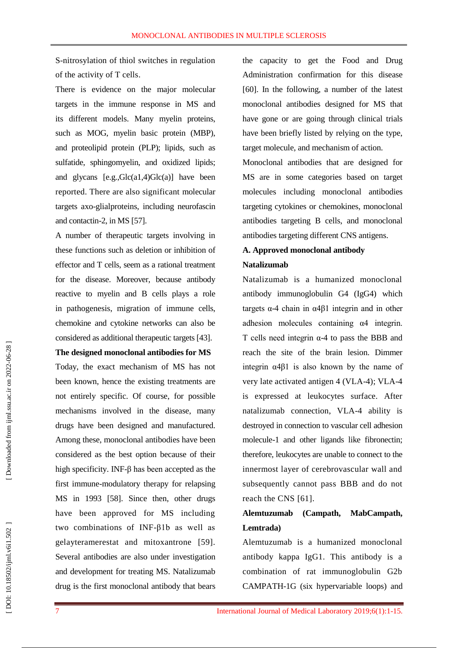S -nitrosylation of thiol switches in regulation of the activity of T cells .

There is evidence on the major molecular targets in the immune response in MS and its different models. Many myelin proteins, such as MOG, myelin basic protein (MBP), and proteolipid protein (PLP); lipids, such as sulfatide, sphingomyelin, and oxidized lipids; and glycans [e.g.,Glc(a1,4)Glc(a)] have been reported. There are also significant molecular targets axo -glialproteins, including neurofascin and contactin -2, in MS [57 ] .

A number of therapeutic targets involving in these functions such as deletion or inhibition of effector and T cells, seem as a rational treatment for the disease. Moreover, because antibody reactive to myelin and B cells plays a role in pathogenesis, migration of immune cells, chemokine and cytokine networks can also be considered as additional therapeutic targets [43 ].

#### **The designed monoclonal antibodies for MS**

Today, the exact mechanism of MS has not been known, hence the existing treatments are not entirely specific. Of course, for possible mechanisms involved in the disease, many drugs have been designed and manufactured. Among these, monoclonal antibodies have been considered as the best option because of their high specificity. INF -β has been accepted as the first immune -modulatory therapy for relapsing MS in 1993 [58 ]. Since then, other drugs have been approved for MS including two combinations of INF -β1b as well as gelayteramerestat and mitoxantrone [59 ] . Several antibodies are also under investigation and development for treating MS. Natalizumab drug is the first monoclonal antibody that bears

the capacity to get the [Food and Drug](https://www.ncbi.nlm.nih.gov/pmc/articles/PMC1494803/)  Administration confirmation for this disease [60]. In the following, a number of the latest monoclonal antibodies designed for MS that have gone or are going through clinical trials have been briefly listed by relying on the type, target molecule, and mechanism of action.

Monoclonal antibodies that are designed for MS are in some categories based on target molecules including monoclonal antibodies targeting cytokines or chemokines, monoclonal antibodies targeting B cells, and monoclonal antibodies targeting different CNS antigens.

### **A. Approved monoclonal antibody Natalizumab**

Natalizumab is a humanized monoclonal antibody immunoglobulin G4 (IgG4) which targets α -4 chain in α4β1 integrin and in other adhesion molecules containing α4 integrin. T cells need integrin  $\alpha$ -4 to pass the BBB and reach the site of the brain lesion. Dimmer integrin α4β1 is also known by the name of very late activated antigen 4 (VLA-4); VLA-4 is expressed at leukocytes surface. After natalizumab connection, VLA -4 ability is destroyed in connection to vascular cell adhesion molecule -1 and other ligands like fibronectin; therefore, leukocytes are unable to connect to the innermost layer of cerebrovascular wall and subsequently cannot pass BBB and do not reach the CNS [61 ] .

# **Alemtuzumab (Campath, MabCampath, Lemtrada)**

Alemtuzumab is a humanized monoclonal antibody kappa IgG1. This antibody is a combination of rat immunoglobulin G2b CAMPATH -1G (six hypervariable loops) and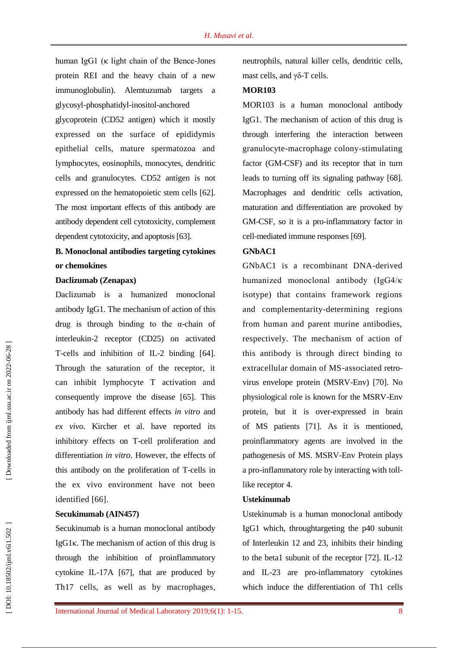human IgG1 (κ light chain of the Bence -Jones protein REI and the heavy chain of a new immunoglobulin). Alemtuzumab targets a glycosyl -phosphatidyl -inositol -anchored

glycoprotein (CD52 antigen) which it mostly expressed on the surface of epididymis epithelial cells, mature spermatozoa and lymphocytes, eosinophils, monocytes, dendritic cells and granulocytes. CD52 antigen is not expressed on the hematopoietic stem cells [62 ]. The most important effects of this antibody are antibody dependent cell cytotoxicity, complement dependent cytotoxicity, and apoptosis [63 ] .

## **B. Monoclonal antibodies targeting cytokines or chemokines**

#### **Daclizumab (Zenapax)**

Daclizumab is a humanized monoclonal antibody IgG1. The mechanism of action of this drug is through binding to the α -chain of interleukin -2 receptor (CD25) on activated T -cells and inhibition of IL -2 binding [64 ]. Through the saturation of the receptor, it can inhibit lymphocyte T activation and consequently improve the disease [65 ] . This antibody has had different effects *in vitro* and *ex vivo*. Kircher et al. have reported its inhibitory effects on T -cell proliferation and differentiation *in vitro* . However, the effects of this antibody on the proliferation of T -cells in the ex vivo environment have not been identified [66].

#### **Secukinumab (AIN457)**

Secukinumab is a human monoclonal antibody IgG1 κ. The mechanism of action of this drug is through the inhibition of proinflammatory cytokine IL -17A [67 ], that are produced by Th17 cells, as well as by macrophages,

neutrophils, natural killer cells, dendritic cells, mast cells, and  $γδ$ -T cells.

#### **MOR103**

MOR103 is a human monoclonal antibody IgG1. The mechanism of action of this drug is through interfering the interaction between granulocyte -macrophage colony -stimulating factor (GM -CSF) and its receptor that in turn lead s to turning off its signaling pathway [68 ]. Macrophages and dendritic cells activation, maturation and differentiation are provoke d by GM -CSF, so it is a pro -inflammatory factor in cell -mediated immune responses [69 ] .

#### **GNbAC1**

GNbAC1 is a recombinant DNA -derived humanized monoclonal antibody (IgG4/κ isotype) that contains framework regions and complementarity -determining regions from human and parent murine antibodies, respectively. The mechanism of action of this antibody is through direct binding to extracellular domain of MS - associated retro virus envelope protein (MSRV -Env) [70 ]. No physiological role is known for the MSRV -Env protein , but it is over -expressed in brain of MS patients [71 ]. As it is mentioned, proinflammatory agents are involved in the pathogenesis of MS. MSRV -Env Protein plays a pro -inflammatory role by interacting with toll like receptor 4.

#### **Ustekinumab**

Ustekinumab is a human monoclonal antibody IgG1 which, throughtargeting the p40 subunit of Interleukin 12 and 23, inhibits their binding to the beta1 subunit of the receptor [72 ]. IL -12 and IL -23 are pro -inflammatory cytokines which induce the differentiation of Th1 cells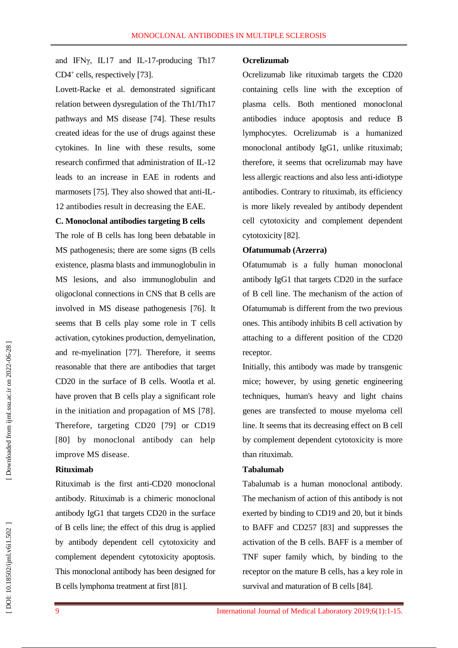and IFNγ, IL17 and IL -17 -producing Th17 CD4<sup>+</sup> cells, respectively [73].

Lovett -Racke et al. demonstrated significant relation between dysregulation of the Th1/Th17 pathways and MS disease [74 ] . These results created ideas for the use of drugs against these cytokines. In line with these results, some research confirmed that administration of I L -12 leads to an increase in EAE in rodents and marmosets [75]. They also showed that anti-IL-12 antibodies result in decreasing the EAE.

#### **C. Monoclonal antibodies targeting B cells**

The role of B cells has long been debatable in MS pathogenesis; there are some signs (B cells existence, plasma blasts and immunoglobulin in MS lesions, and also immunoglobulin and oligoclonal connections in CNS that B cells are involved in MS disease pathogenesis [76 ]. It seems that B cells play some role in T cells activation, cytokines production, demyelination, and re -myelination [77 ] . Therefore, it seems reasonable that there are antibodies that target CD20 in the surface of B cells. Wootla et al. have proven that B cells play a significant role in the initiation and propagation of MS [78 ]. Therefore, targeting CD20 [79 ] or CD19 [80 ] by monoclonal antibody can help improve MS disease.

#### **Rituximab**

Rituximab is the first anti -CD20 monoclonal antibody. Rituximab is a chimeric monoclonal antibody IgG1 that targets CD20 in the surface of B cells line; the effect of this drug is applied by antibody dependent cell cytotoxicity and complement dependent cytotoxicity apoptosis. This monoclonal antibody has been designed for B cells lymphoma treatment at first [81 ] .

#### **Ocrelizumab**

Ocrelizumab like rituximab targets the CD20 containing cells line with the exception of plasma cells . Both mentioned monoclonal antibodies induce apoptosis and reduce B lymphocytes. Ocrelizumab is a humanized monoclonal antibody IgG1, unlike rituximab; therefore, it seems that ocrelizumab may have less allergic reactions and also less anti -idiotype antibodies. Contrary to rituximab, its efficiency is more likely revealed by antibody dependent cell cytotoxicity and complement dependent cytotoxicity [82 ].

#### **Ofatumumab (Arzerra)**

Ofatumumab is a fully human monoclonal antibody IgG1 that targets CD20 in the surface of B cell line. The mechanism of the action of Ofatumumab is different from the two previous ones. This antibody inhibits B cell activation by attaching to a different position of the CD20 receptor.

Initially, this antibody was made by transgenic mice ; however, by using genetic engineering techniques, human's heavy and light chains genes are transfected to mouse myeloma cell line. It seems that its decreasing effect on B cell by complement dependent cytotoxicity is more than rituximab.

#### **Tabalumab**

Tabalumab is a human monoclonal antibody. The mechanism of action of this antibody is not exerted by binding to CD19 and 20, but it binds to BAFF and CD257 [83 ] and suppresses the activation of the B cells. BAFF is a member of TNF super family which , by binding to the receptor on the mature B cells , has a key role in survival and maturation of B cells [84].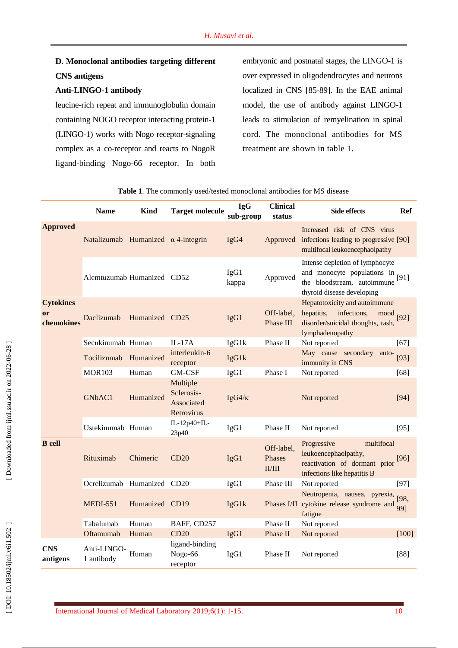## **D. Monoclonal antibodies targeting different CNS antigens**

#### **Anti -LINGO -1 antibody**

leucine -rich repeat and immunoglobulin domain containing NOGO receptor interacting protein -1 (LINGO - 1) works with Nogo receptor -signaling complex as a co -receptor and reacts to NogoR ligand -binding Nogo -66 receptor. In both

embryonic and postnatal stages, the LINGO -1 is over expressed in oligodendrocytes and neurons localized in CNS [85 -89 ]. In the EAE animal model, the use of antibody against LINGO -1 leads to stimulation of remyelination in spinal cord. The monoclonal antibodies for MS treatment are shown in table 1.

|                                      | <b>Name</b>                               | <b>Kind</b>    | <b>Target molecule</b>                             | <b>IgG</b><br>sub-group | <b>Clinical</b><br>status      | <b>Side effects</b>                                                                                                         | Ref         |
|--------------------------------------|-------------------------------------------|----------------|----------------------------------------------------|-------------------------|--------------------------------|-----------------------------------------------------------------------------------------------------------------------------|-------------|
| <b>Approved</b>                      | Natalizumab Humanized $\alpha$ 4-integrin |                |                                                    | IgG4                    | Approved                       | Increased risk of CNS virus<br>infections leading to progressive [90]<br>multifocal leukoencephaolpathy                     |             |
|                                      | Alemtuzumab Humanized CD52                |                |                                                    | IgG1<br>kappa           | Approved                       | Intense depletion of lymphocyte<br>and monocyte populations in<br>the bloodstream, autoimmune<br>thyroid disease developing | [ $91$ ]    |
| <b>Cytokines</b><br>or<br>chemokines | Daclizumab                                | Humanized CD25 |                                                    | IgG1                    | Off-label,<br>Phase III        | Hepatotoxicity and autoimmune<br>hepatitis,<br>infections,<br>mood<br>disorder/suicidal thoughts, rash,<br>lymphadenopathy  | $[92]$      |
|                                      | Secukinumab Human                         |                | $IL-17A$                                           | IgG1k                   | Phase II                       | Not reported                                                                                                                | $[67]$      |
|                                      | Tocilizumab Humanized                     |                | interleukin-6<br>receptor                          | IgG1k                   |                                | May cause secondary<br>auto-<br>immunity in CNS                                                                             | $[93]$      |
|                                      | <b>MOR103</b>                             | Human          | GM-CSF                                             | IgG1                    | Phase I                        | Not reported                                                                                                                | [68]        |
|                                      | GNbAC1                                    | Humanized      | Multiple<br>Sclerosis-<br>Associated<br>Retrovirus | $IgG4/\kappa$           |                                | Not reported                                                                                                                | [94]        |
|                                      | Ustekinumab Human                         |                | IL-12p40+IL-<br>23p40                              | IgG1                    | Phase II                       | Not reported                                                                                                                | $[95]$      |
| <b>B</b> cell                        | Rituximab                                 | Chimeric       | CD20                                               | IgG1                    | Off-label,<br>Phases<br>II/III | Progressive<br>multifocal<br>leukoencephaolpathy,<br>reactivation of dormant prior<br>infections like hepatitis B           | $[96]$      |
|                                      | Ocrelizumab Humanized CD20                |                |                                                    | IgG1                    | Phase III                      | Not reported                                                                                                                | $[97]$      |
|                                      | <b>MEDI-551</b>                           | Humanized CD19 |                                                    | IgG1k                   |                                | Neutropenia, nausea, pyrexia,<br>Phases I/II cytokine release syndrome and<br>fatigue                                       | [98,<br>991 |
|                                      | Tabalumab                                 | Human          | BAFF, CD257                                        |                         | Phase II                       | Not reported                                                                                                                |             |
|                                      | Oftamumab                                 | Human          | CD20                                               | IgG1                    | Phase II                       | Not reported                                                                                                                | $[100]$     |
| <b>CNS</b><br>antigens               | Anti-LINGO-<br>1 antibody                 | Human          | ligand-binding<br>Nogo-66<br>receptor              | IgG1                    | Phase II                       | Not reported                                                                                                                | $[88]$      |

**Table 1**. The commonly used/tested monoclonal antibodies for MS disease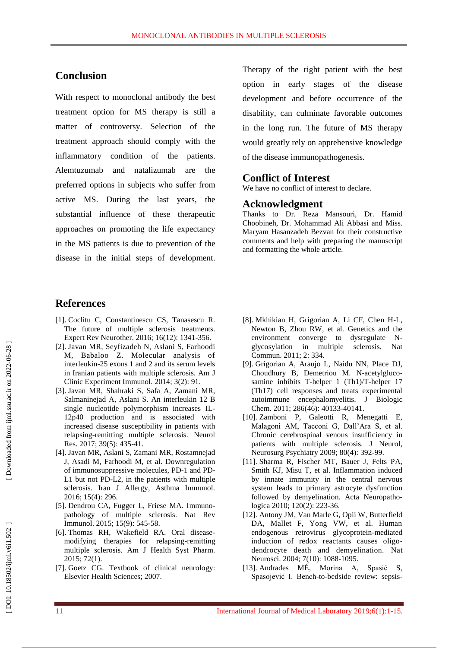### **Conclusion**

With respect to monoclonal antibody the best treatment option for MS therapy is still a matter of controversy. Selection of the treatment approach should comply with the inflammatory condition of the patients. Alemtuzumab and natalizumab are the preferred options in subjects who suffer from active MS. During the last years, the substantial influence of these therapeutic approaches on promoting the life expectancy in the MS patient s is due to prevention of the disease in the initial steps of development.

Therapy of the right patient with the best option in early stages of the disease development and before occurrence of the disability, can culminate favorable outcomes in the long run. The future of MS therapy would greatly rely on apprehensive knowledge of the disease immunopathogenesis.

#### **Conflict of Interest**

We have no conflict of interest to declare.

#### **Acknowledgment**

Thanks to Dr. Reza Mansouri, Dr. Hamid Choobineh, Dr. Mohammad Ali Abbasi and Miss. Maryam Hasanzadeh Bezvan for their constructive comments and help with preparing the manuscript and formatting the whole article.

### **References**

- [1]. Coclitu C, Constantinescu CS, Tanasescu R. The future of multiple sclerosis treatments. Expert Rev Neurother. 2016; 16(12): 1341 - 356.
- [ 2]. Javan MR, Seyfizadeh N, Aslani S, Farhoodi M, Babaloo Z. Molecular analysis of interleukin -25 exons 1 and 2 and its serum levels in Iranian patients with multiple sclerosis. Am J Clinic Experiment Immunol. 2014; 3(2): 91.
- [ 3]. Javan MR, Shahraki S, Safa A, Zamani MR, Salmaninejad A, Aslani S. An interleukin 12 B single nucleotide polymorphism increases IL - 12p40 production and is associated with increased disease susceptibility in patients with relapsing -remitting multiple sclerosis. Neurol Res. 2017; 39(5): 435 -41.
- [ 4]. Javan MR, Aslani S, Zamani MR, Rostamnejad J, Asadi M, Farhoodi M, et al. Downregulation of immunosuppressive molecules, PD -1 and PD - L1 but not PD -L2, in the patients with multiple sclerosis. Iran J Allergy, Asthma Immunol. 2016; 15(4): 296.
- [ 5]. Dendrou CA, Fugger L, Friese MA. Immuno pathology of multiple sclerosis. Nat Rev Immunol. 2015; 15(9): 545 -58.
- [ 6]. Thomas RH, Wakefield RA. Oral disease modifying therapies for relapsing -remitting multiple sclerosis. Am J Health Syst Pharm. 2015; 72(1).
- [ 7]. Goetz CG. Textbook of clinical neurology: Elsevier Health Sciences; 2007.
- [ 8]. Mkhikian H, Grigorian A, Li CF, Chen H -L, Newton B, Zhou RW, et al. Genetics and the environment converge to dysregulate N glycosylation in multiple sclerosis. Nat Commun. 2011; 2: 334.
- [ 9]. Grigorian A, Araujo L, Naidu NN, Place DJ, Choudhury B, Demetriou M. N -acetylgluco samine inhibits T -helper 1 (Th1)/T -helper 17 (Th17) cell responses and treats experimental autoimmune encephalomyelitis. J Biologic Chem. 2011; 286(46): 40133-40141.
- [10]. Zamboni P, Galeotti R, Menegatti E, Malagoni AM, Tacconi G, Dall'Ara S, et al. Chronic cerebrospinal venous insufficiency in patients with multiple sclerosis. J Neurol, Neurosurg Psychiatry 2009; 80(4): 392 - 99.
- [11]. Sharma R, Fischer MT, Bauer J, Felts PA, Smith KJ, Misu T, et al. Inflammation induced by innate immunity in the central nervous system leads to primary astrocyte dysfunction followed by demyelination. Acta Neuropathologica 2010; 120(2): 223 -36.
- [12]. Antony JM, Van Marle G, Opii W, Butterfield DA, Mallet F, Yong VW, et al. Human endogenous retrovirus glycoprotein -mediated induction of redox reactants causes oligo dendrocyte death and demyelination. Nat Neurosci. 2004; 7(10): 1088-1095.
- [13]. Andrades MÉ, Morina A, Spasić S, Spasojević I. Bench-to-bedside review: sepsis-

DOI: 10.18502/ijml.v6i1.502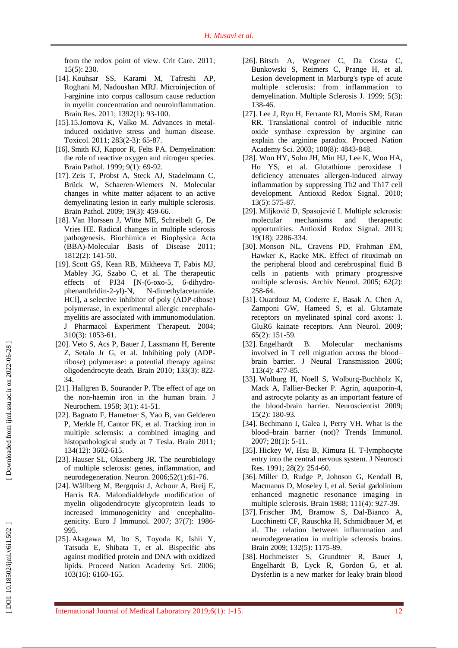from the redox point of view. Crit Care. 2011; 15(5): 230.

- [14]. Kouhsar SS, Karami M, Tafreshi AP, Roghani M, Nadoushan MRJ. Microinjection of l-arginine into corpus callosum cause reduction in myelin concentration and neuroinflammation. Brain Res. 2011; 1392(1) : 93 -100.
- [15].15.Jomova K, Valko M. Advances in metal induced oxidative stress and human disease. Toxicol. 2011; 283(2 -3): 65 -87.
- [16]. Smith KJ, Kapoor R, Felts PA. Demyelination: the role of reactive oxygen and nitrogen species. Brain Pathol. 1999; 9(1): 69 -92.
- [17]. Zeis T, Probst A, Steck AJ, Stadelmann C, Brück W, Schaeren ‐Wiemers N. Molecular changes in white matter adjacent to an active demyelinating lesion in early multiple sclerosis. Brain Pathol . 2009; 19(3): 459 -66.
- [18]. Van Horssen J, Witte ME, Schreibelt G, De Vries HE. Radical changes in multiple sclerosis pathogenesis. Biochimica et Biophysica Acta (BBA) -Molecular Basis of Disease 2011; 1812(2): 141 -50.
- [19]. Scott GS, Kean RB, Mikheeva T, Fabis MJ, Mabley JG, Szabo C, et al. The therapeutic effects of PJ34 [N-(6-oxo-5, 6-dihydrophenanthridin-2-yl)-N, N -dimethylacetamide. HCl], a selective inhibitor of poly (ADP -ribose) polymerase, in experimental allergic encephalo myelitis are associated with immunomodulation. J Pharmacol Experiment Therapeut. 2004; 310(3): 1053 -61.
- [20]. Veto S, Acs P, Bauer J, Lassmann H, Berente Z, Setalo Jr G, et al. Inhibiting poly (ADP ribose) polymerase: a potential therapy against oligodendrocyte death. Brain 2010; 133(3): 822 - 34.
- [21]. Hallgren B, Sourander P. The effect of age on the non ‐haemin iron in the human brain. J Neurochem. 1958; 3(1): 41 -51.
- [22]. Bagnato F, Hametner S, Yao B, van Gelderen P, Merkle H, Cantor FK, et al. Tracking iron in multiple sclerosis: a combined imaging and histopathological study at 7 Tesla. Brain 2011; 134(12): 3602 - 615.
- [23]. Hauser SL, Oksenberg JR. The neurobiology of multiple sclerosis: genes, inflammation, and neurodegeneration. Neuron. 2006;52(1):61 -76.
- [24]. Wållberg M, Bergquist J, Achour A, Breij E, Harris RA. Malondialdehyde modification of myelin oligodendrocyte glycoprotein leads to increased immunogenicity and encephalito genicity. Euro J Immunol. 2007; 37(7): 1986 - 995.
- [25]. Akagawa M, Ito S, Toyoda K, Ishii Y, Tatsuda E, Shibata T, et al. Bispecific abs against modified protein and DNA with oxidized lipids. Proceed Nation Academy Sci. 2006; 103(16): 6160 -165.
- [26]. Bitsch A, Wegener C, Da Costa C, Bunkowski S, Reimers C, Prange H, et al. Lesion development in Marburg's type of acute multiple sclerosis: from inflammation to demyelination. Multiple Sclerosis J. 1999; 5(3): 138 -46.
- [27]. Lee J, Ryu H, Ferrante RJ, Morris SM, Ratan RR. Translational control of inducible nitric oxide synthase expression by arginine can explain the arginine paradox. Proceed Nation Academy Sci. 2003; 100(8): 4843 -848.
- [28]. Won HY, Sohn JH, Min HJ, Lee K, Woo HA, Ho YS, et al. Glutathione peroxidase 1 deficiency attenuates allergen -induced airway inflammation by suppressing Th2 and Th17 cell development. Antioxid Redox Signal. 2010; 13(5): 575 -87.
- [29]. Miljković D, Spasojević I. Multiple sclerosis: molecular mechanisms and therapeutic opportunities. Antioxid Redox Signal. 2013; 19(18): 2286 -334.
- [30]. Monson NL, Cravens PD, Frohman EM, Hawker K, Racke MK. Effect of rituximab on the peripheral blood and cerebrospinal fluid B cells in patients with primary progressive multiple sclerosis. Archiv Neurol. 2005; 62(2): 258 -64.
- [31]. Ouardouz M, Coderre E, Basak A, Chen A, Zamponi GW, Hameed S, et al. Glutamate receptors on myelinated spinal cord axons: I. GluR6 kainate receptors. Ann Neurol. 2009; 65(2): 151 - 59.
- [32]. Engelhardt B. Molecular mechanisms involved in T cell migration across the blood – brain barrier. J Neural Transmission 2006; 113(4): 477 -85.
- [33]. Wolburg H, Noell S, Wolburg -Buchholz K, Mack A, Fallier -Becker P. Agrin, aquaporin -4, and astrocyte polarity as an important feature of the blood -brain barrier. Neuroscientis t 2009; 15(2): 180 -93.
- [34]. Bechmann I, Galea I, Perry VH. What is the blood –brain barrier (not)? Trends Immunol. 2007; 28(1): 5 -11.
- [35]. Hickey W, Hsu B, Kimura H. T ‐lymphocyte entry into the central nervous system. J Neurosci Res. 1991; 28(2): 254 -60.
- [36]. Miller D, Rudge P, Johnson G, Kendall B, Macmanus D, Moseley I, et al. Serial gadolinium enhanced magnetic resonance imaging in multiple sclerosis. Brain 1988; 111(4) : 927 - 39.
- [37]. Frischer JM, Bramow S, Dal -Bianco A, Lucchinetti CF, Rauschka H, Schmidbauer M, et al. The relation between inflammation and neurodegeneration in multiple sclerosis brains. Brain 2009; 132(5): 1175 -89.
- [38]. Hochmeister S, Grundtner R, Bauer J, Engelhardt B, Lyck R, Gordon G, et al. Dysferlin is a new marker for leaky brain blood

[Downloaded from ijml.ssu.ac.ir on 2022-06-28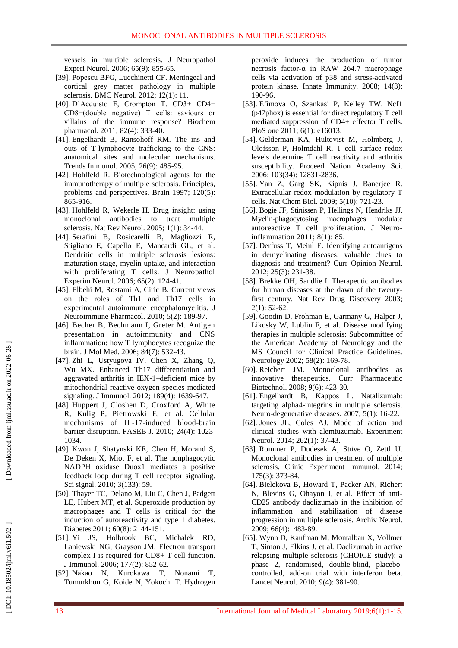vessels in multiple sclerosis. J Neuropathol Experi Neurol. 2006; 65(9): 855 -65.

- [39]. Popescu BFG, Lucchinetti CF. Meningeal and cortical grey matter pathology in multiple sclerosis. BMC Neurol. 2012; 12(1): 11.
- [40]. D'Acquisto F, Crompton T. CD3 + CD4− CD8−(double negative) T cells: saviours or villains of the immune response? Biochem pharmacol. 2011; 82(4): 333 -40.
- [41]. Engelhardt B, Ransohoff RM. The ins and outs of T -lymphocyte trafficking to the CNS: anatomical sites and molecular mechanisms. Trends Immunol. 2005; 26(9): 485 -95.
- [42]. Hohlfeld R. Biotechnological agents for the immunotherapy of multiple sclerosis. Principles, problems and perspectives. Brain 1997; 120(5): 865 -916.
- [43]. Hohlfeld R, Wekerle H. Drug insight: using monoclonal antibodies to treat multiple sclerosis. Nat Rev Neurol. 2005; 1(1): 34 -44 .
- [44]. Serafini B, Rosicarelli B, Magliozzi R, Stigliano E, Capello E, Mancardi GL, et al. Dendritic cells in multiple sclerosis lesions: maturation stage, myelin uptake, and interaction with proliferating T cells. J Neuropathol Experim Neurol. 2006; 65(2): 124 -41.
- [45]. Elbehi M, Rostami A, Ciric B. Current views on the roles of Th1 and Th17 cells in experimental autoimmune encephalomyelitis. J Neuroimmune Pharmacol. 2010; 5(2): 189 -97.
- [46]. Becher B, Bechmann I, Greter M. Antigen presentation in autoimmunity and CNS inflammation: how T lymphocytes recognize the brain. J Mol Med. 2006; 84(7): 532 -43.
- [47]. Zhi L, Ustyugova IV, Chen X, Zhang Q, Wu MX. Enhanced Th17 differentiation and aggravated arthritis in IEX - 1 –deficient mice by mitochondrial reactive oxygen species -mediated signaling. J Immunol. 2012; 189(4): 1639 - 647.
- [48]. Huppert J, Closhen D, Croxford A, White R, Kulig P, Pietrowski E, et al. Cellular mechanisms of IL -17 -induced blood -brain barrier disruption. FASEB J. 2010; 24(4): 1023 - 1034.
- [49]. Kwon J, Shatynski KE, Chen H, Morand S, De Deken X, Miot F, et al. The nonphagocytic NADPH oxidase Duox1 mediates a positive feedback loop during T cell receptor signaling. Sci signal. 2010; 3(133): 59.
- [50]. Thayer TC, Delano M, Liu C, Chen J, Padgett LE, Hubert MT, et al. Superoxide production by macrophages and T cells is critical for the induction of autoreactivity and type 1 diabetes. Diabetes 2011; 60(8): 2144 - 151.
- [51]. Yi JS, Holbrook BC, Michalek RD, Laniewski NG, Grayson JM. Electron transport complex I is required for  $CD8+T$  cell function. J Immunol. 2006; 177(2): 852 -62.
- [52]. Nakao N, Kurokawa T, Nonami T, Tumurkhuu G, Koide N, Yokochi T. Hydrogen

peroxide induces the production of tumor necrosis factor -α in RAW 264.7 macrophage cells via activation of p38 and stress -activated protein kinase. Innate Immunity. 2008; 14(3): 190 - 96.

- [53]. Efimova O, Szankasi P, Kelley TW. Ncf1 (p47phox) is essential for direct regulatory T cell mediated suppression of CD4+ effector T cells. PloS one 2011; 6(1): e16013.
- [54]. Gelderman KA, Hultqvist M, Holmberg J, Olofsson P, Holmdahl R. T cell surface redox levels determine T cell reactivity and arthritis susceptibility. Proceed Nation Academy Sci. 2006; 103(34): 12831 -2836.
- [55]. Yan Z, Garg SK, Kipnis J, Banerjee R. Extracellular redox modulation by regulatory T cells. Nat Chem Biol. 2009; 5(10): 721 -23 .
- [56]. Bogie JF, Stinissen P, Hellings N, Hendriks JJ. Myelin -phagocytosing macrophages modulate autoreactive T cell proliferation. J Neuro inflammation 2011; 8(1): 85.
- [57]. Derfuss T, Meinl E. Identifying autoantigens in demyelinating diseases: valuable clues to diagnosis and treatment? Curr Opinion Neurol. 2012; 25(3): 231 - 38.
- [58]. Brekke OH, Sandlie I. Therapeutic antibodies for human diseases at the dawn of the twenty first century. Nat Rev Drug Discovery 2003; 2(1): 52 -62.
- [59]. Goodin D, Frohman E, Garmany G, Halper J, Likosky W, Lublin F, et al. Disease modifying therapies in multiple sclerosis: Subcommittee of the American Academy of Neurology and the MS Council for Clinical Practice Guidelines. Neurology 2002; 58(2): 169 -78.
- [60]. Reichert JM. Monoclonal antibodies as innovative therapeutics. Curr Pharmaceutic Biotechnol. 2008; 9(6): 423 -30.
- [61]. Engelhardt B, Kappos L. Natalizumab: targeting alpha4 -integrins in multiple sclerosis. Neuro -degenerative diseases. 2007; 5(1): 16 -22.
- [62]. Jones JL, Coles AJ. Mode of action and clinical studies with alemtuzumab. Experiment Neurol. 2014; 262(1): 37-43.
- [63]. Rommer P, Dudesek A, Stüve O, Zettl U. Monoclonal antibodies in treatment of multiple sclerosis. Clinic Experiment Immunol. 2014; 175(3): 373 -84.
- [64]. Bielekova B, Howard T, Packer AN, Richert N, Blevins G, Ohayon J, et al. Effect of anti - CD25 antibody daclizumab in the inhibition of inflammation and stabilization of disease progression in multiple sclerosis. Archiv Neurol. 2009; 66(4): 483 - 89.
- [65]. Wynn D, Kaufman M, Montalban X, Vollmer T, Simon J, Elkins J, et al. Daclizumab in active relapsing multiple sclerosis (CHOICE study): a phase 2, randomised, double -blind, placebo controlled, add -on trial with interferon beta. Lancet Neurol. 2010; 9(4): 381 -90.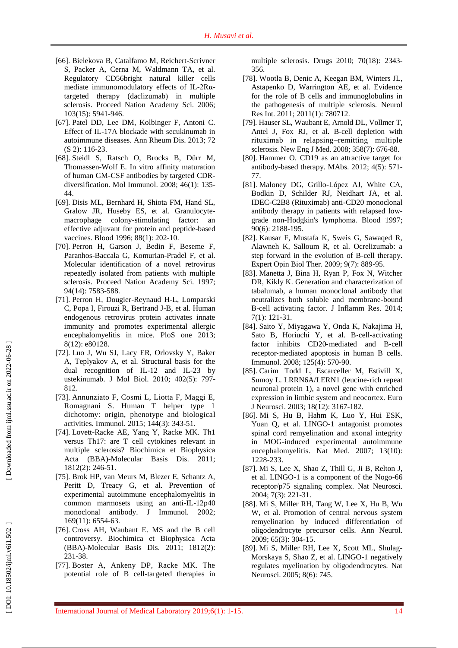- [66]. Bielekova B, Catalfamo M, Reichert -Scrivner S, Packer A, Cerna M, Waldmann TA, et al. Regulatory CD56bright natural killer cells mediate immunomodulatory effects of IL-2Rαtargeted therapy (daclizumab) in multiple sclerosis. Proceed Nation Academy Sci. 2006; 103(15): 5941 -946.
- [67]. Patel DD, Lee DM, Kolbinger F, Antoni C. Effect of IL -17A blockade with secukinumab in autoimmune diseases. [Ann Rheum Dis.](https://www.ncbi.nlm.nih.gov/pubmed/?term=Patel+DD%2C+Lee+DM%2C+Kolbinger+F%2C+Antoni+C.+Effect+of+IL-17A+blockade+with+secukinumab+in+autoimmune+diseases.+Annals+of+the+rheumatic+diseases.) 2013; 72 (S 2): 116-23.
- [68]. Steidl S, Ratsch O, Brocks B, Dürr M, Thomassen -Wolf E. In vitro affinity maturation of human GM -CSF antibodies by targeted CDR diversification. Mol Immunol. 2008; 46(1): 135 - 44.
- [69]. Disis ML, Bernhard H, Shiota FM, Hand SL, Gralow JR, Huseby ES, et al. Granulocyte macrophage colony -stimulating factor: an effective adjuvant for protein and peptide -based vaccines. Blood 1996; 88(1): 202-10.
- [70]. Perron H, Garson J, Bedin F, Beseme F, Paranhos -Baccala G, Komurian -Pradel F, et al. Molecular identification of a novel retrovirus repeatedly isolated from patients with multiple sclerosis. Proceed Nation Academy Sci. 1997; 94(14): 7583 -588.
- [71]. Perron H, Dougier -Reynaud H -L, Lomparski C, Popa I, Firouzi R, Bertrand J -B, et al. Human endogenous retrovirus protein activates innate immunity and promotes experimental allergic encephalomyelitis in mice. PloS one 2013; 8(12): e80128.
- [72]. Luo J, Wu SJ, Lacy ER, Orlovsky Y, Baker A, Teplyakov A, et al. Structural basis for the dual recognition of IL -12 and I L -23 by ustekinumab. J Mol Biol. 2010; 402(5): 797 - 812.
- [73]. Annunziato F, Cosmi L, Liotta F, Maggi E, Romagnani S. Human T helper type 1 dichotomy: origin, phenotype and biological activities. Immunol. 2015; 144(3): 343 -51.
- [74]. Lovett -Racke AE, Yang Y, Racke MK. Th1 versus Th17: are T cell cytokines relevant in multiple sclerosis? Biochimica et Biophysica Acta (BBA) -Molecular Basis Dis. 2011; 1812(2): 246 -51.
- [75]. Brok HP, van Meurs M, Blezer E, Schantz A, Peritt D, Treacy G, et al. Prevention of experimental autoimmune encephalomyelitis in common marmosets using an anti -IL -12p40 monoclonal antibody. J Immunol. 2002; 169(11): 6554 -63.
- [76]. Cross AH, Waubant E. MS and the B cell controversy. Biochimica et Biophysica Acta (BBA) -Molecular Basis Dis. 2011; 1812(2): 231 - 38.
- [77]. Boster A, Ankeny DP, Racke MK. The potential role of B cell -targeted therapies in

multiple sclerosis. Drugs 2010; 70(18): 2343 - 356.

- [78]. Wootla B, Denic A, Keegan BM, Winters JL, Astapenko D, Warrington AE, et al. Evidence for the role of B cells and immunoglobulins in the pathogenesis of multiple sclerosis. [Neurol](https://www.ncbi.nlm.nih.gov/pubmed/21961063)  [Res Int.](https://www.ncbi.nlm.nih.gov/pubmed/21961063) 2011; 2011(1): 780712 .
- [79]. Hauser SL, Waubant E, Arnold DL, Vollmer T, Antel J, Fox RJ, et al. B -cell depletion with rituximab in relapsing –remitting multiple sclerosis. New Eng J Med. 2008; 358(7): 676 -88.
- [80]. Hammer O . CD19 as an attractive target for antibody -based therapy. [MAbs.](https://www.ncbi.nlm.nih.gov/pubmed/?term=Hammer+O%2C+editor+CD19+as+an+attractive+target+for+antibody-based+therapy.) 2012 ; 4(5): 571 - 7 7 .
- [81]. Maloney DG, Grillo -López AJ, White CA, Bodkin D, Schilder RJ, Neidhart JA, et al. IDEC -C2B8 (Rituximab) anti -CD20 monoclonal antibody therapy in patients with relapsed low grade non -Hodgkin's lymphoma. Blood 1997; 90(6): 2188 - 195.
- [82]. Kausar F, Mustafa K, Sweis G, Sawaqed R, Alawneh K, Salloum R, et al. Ocrelizumab: a step forward in the evolution of B -cell therapy. [Expert Opin Biol Ther.](https://www.ncbi.nlm.nih.gov/pubmed/?term=Kausar+F%2C+Mustafa+K%2C+Sweis+G%2C+Sawaqed+R%2C+Alawneh+K%2C+Salloum+R%2C+et+al.+Ocrelizumab%3A+a+step+forward+in+the+evolution+of+B-cell+th) 2009; 9(7): 889 -95 .
- [83]. Manetta J, Bina H, Ryan P, Fox N, Witcher DR, Kikly K. Generation and characterization of tabalumab, a human monoclonal antibody that neutralizes both soluble and membrane -bound B -cell activating factor. J Inflam m Res. 2014; 7(1) : 121 -31 .
- [84]. Saito Y, Miyagawa Y, Onda K, Nakajima H, Sato B, Horiuchi Y, et al. B-cell-activating factor inhibits CD20 ‐mediated and B ‐cell receptor ‐mediated apoptosis in human B cells. Immunol. 2008; 125(4): 570 -90.
- [85]. Carim Todd L, Escarceller M, Estivill X, Sumoy L. LRRN6A/LERN1 (leucine ‐rich repeat neuronal protein 1), a novel gene with enriched expression in limbic system and neocortex. Euro J Neurosci. 2003; 18(12): 3167 - 182.
- [86]. Mi S, Hu B, Hahm K, Luo Y, Hui ESK, Yuan Q, et al. LINGO -1 antagonist promotes spinal cord remyelination and axonal integrity in MOG -induced experimental autoimmune encepha lomyelitis. [Nat Med.](https://www.ncbi.nlm.nih.gov/pubmed/?term=LINGO-1+antagonist+promotes+spinal+cord+remyelination+and+axonal+integrity+in+MOG-induced+experimental+autoimmune+encephalomyelitis.) 2007; 13(10): 1228 - 233 .
- [87]. Mi S, Lee X, Shao Z, Thill G, Ji B, Relton J, et al. LINGO -1 is a component of the Nogo -66 receptor/p75 signaling complex. Nat Neurosci. 2004; 7(3): 221 -31 .
- [88]. Mi S, Miller RH, Tang W, Lee X, Hu B, Wu W, et al. Promotion of central nervous system remyelination by induced differentiation of oligodendrocyte precursor cells. Ann Neurol. 2009; 65(3): 304 -15.
- [89]. Mi S, Miller RH, Lee X, Scott ML, Shulag Morskaya S, Shao Z, et al. LINGO -1 negatively regulates myelination by oligodendrocytes. Nat Neurosci. 2005; 8(6): 745.